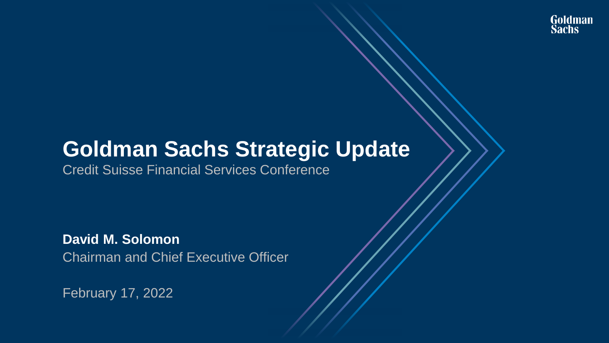# **Goldman Sachs Strategic Update**

Credit Suisse Financial Services Conference

**David M. Solomon** Chairman and Chief Executive Officer

February 17, 2022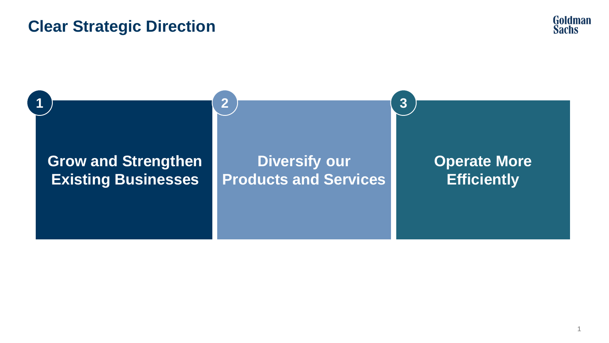### **Clear Strategic Direction**



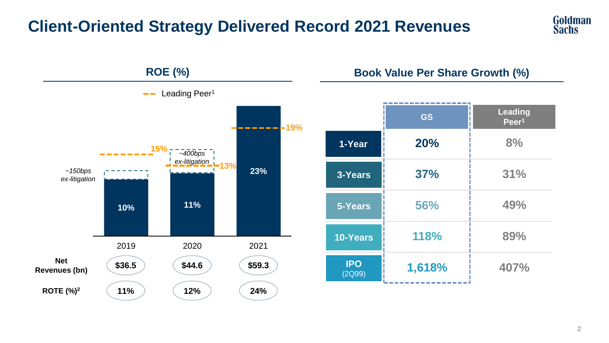## **Client-Oriented Strategy Delivered Record 2021 Revenues**



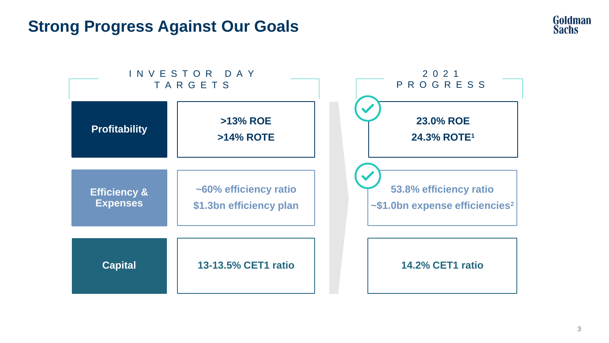### **Strong Progress Against Our Goals**



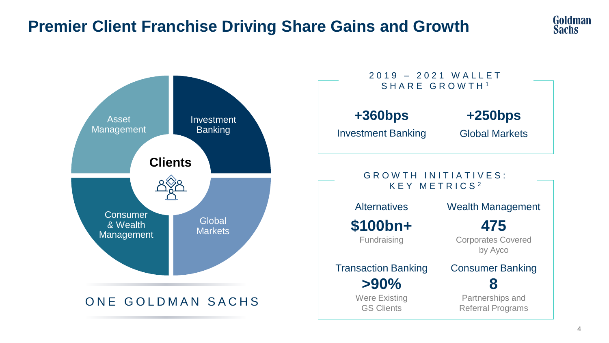## **Premier Client Franchise Driving Share Gains and Growth**





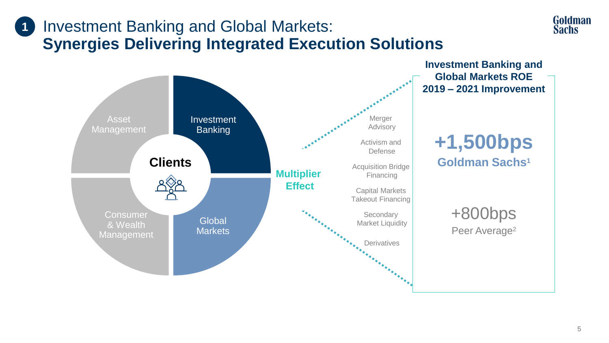### Investment Banking and Global Markets: **Synergies Delivering Integrated Execution Solutions 1**



**Goldman Sachs**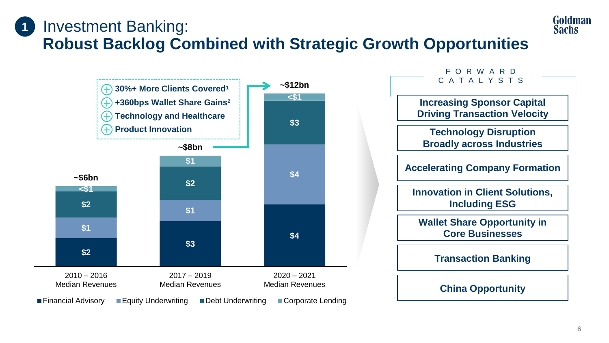### Investment Banking: **Robust Backlog Combined with Strategic Growth Opportunities 1**



Goldman **Sachs**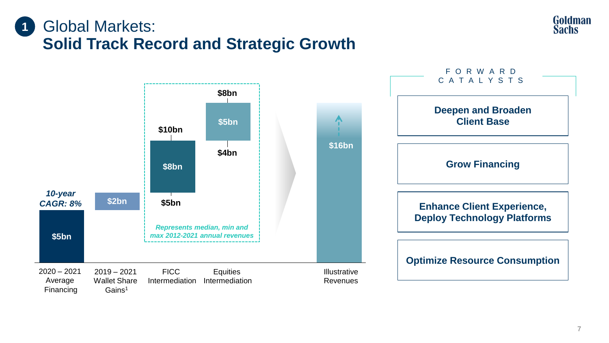### Global Markets: **Solid Track Record and Strategic Growth 1**



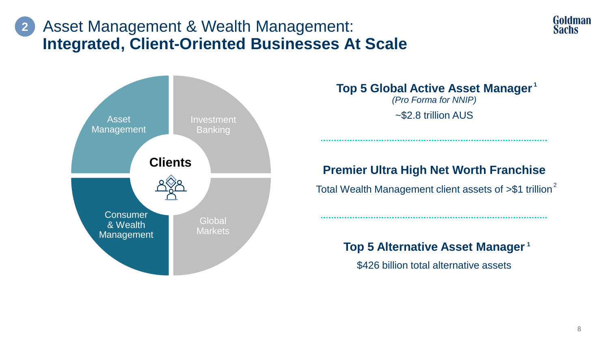### Asset Management & Wealth Management: **Integrated, Client-Oriented Businesses At Scale 2**



**Top 5 Global Active Asset Manager 1** *(Pro Forma for NNIP)* 

# **Premier Ultra High Net Worth Franchise**

Total Wealth Management client assets of >\$1 trillion<sup>2</sup>

**Top 5 Alternative Asset Manager 1**

\$426 billion total alternative assets

Goldman **Sachs**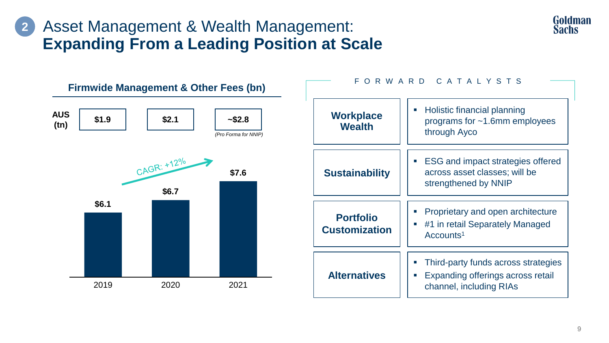### Asset Management & Wealth Management: **Expanding From a Leading Position at Scale 2**



**Goldman Sachs**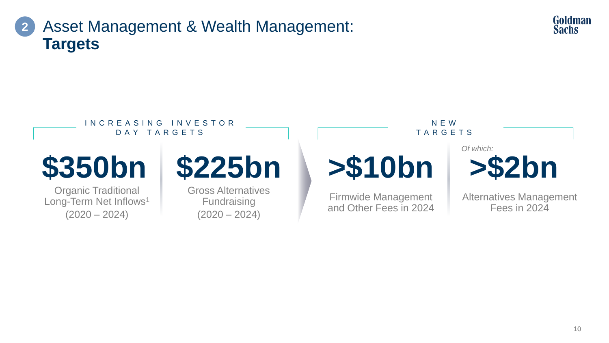



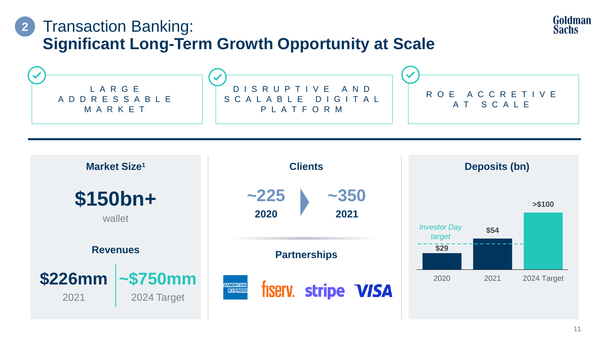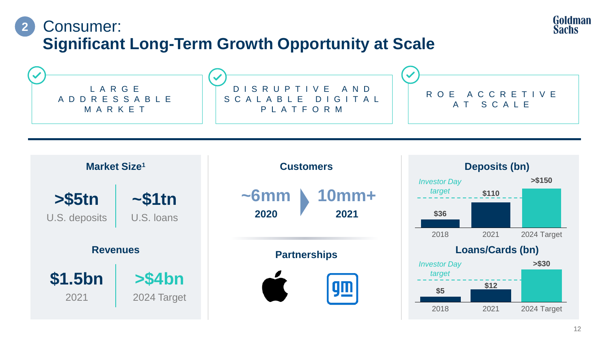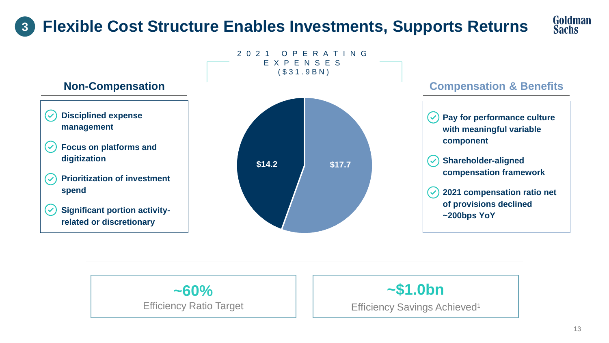### **Flexible Cost Structure Enables Investments, Supports Returns 3**







**~\$1.0bn**

Efficiency Savings Achieved<sup>1</sup>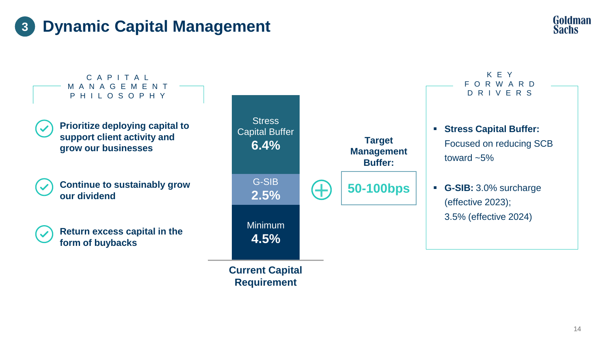





**Requirement**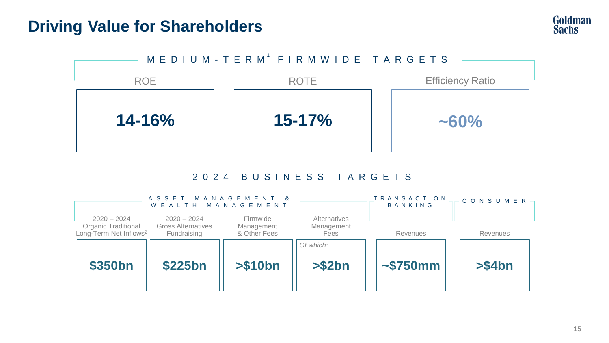### **Driving Value for Shareholders**





### 2 0 2 4 B U S I N E S S T A R G E T S

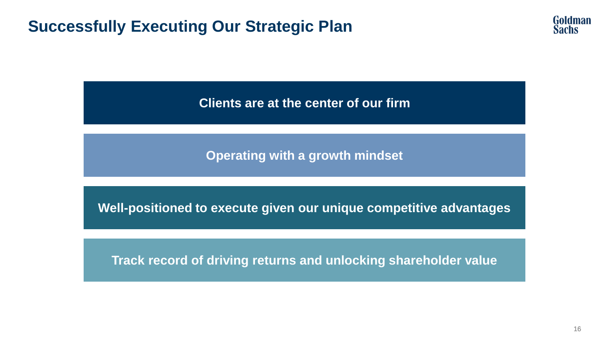### **Successfully Executing Our Strategic Plan**



**Clients are at the center of our firm**

**Operating with a growth mindset**

**Well-positioned to execute given our unique competitive advantages**

**Track record of driving returns and unlocking shareholder value**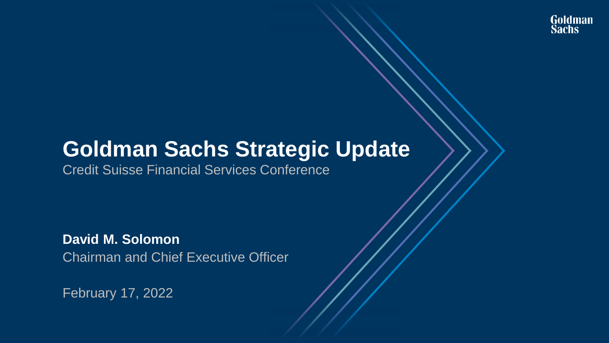# **Goldman Sachs Strategic Update**

Credit Suisse Financial Services Conference

**David M. Solomon** Chairman and Chief Executive Officer

February 17, 2022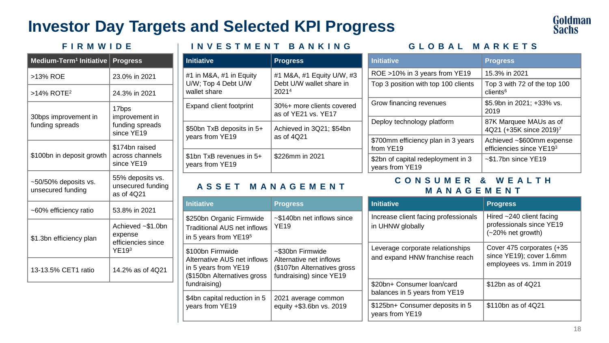### **Investor Day Targets and Selected KPI Progress**



| Medium-Term <sup>1</sup> Initiative             | <b>Progress</b>                                             |  |  |  |  |  |
|-------------------------------------------------|-------------------------------------------------------------|--|--|--|--|--|
| >13% ROE                                        | 23.0% in 2021                                               |  |  |  |  |  |
| $>14\%$ ROTE <sup>2</sup>                       | 24.3% in 2021                                               |  |  |  |  |  |
| 30bps improvement in<br>funding spreads         | 17bps<br>improvement in<br>funding spreads<br>since YE19    |  |  |  |  |  |
| \$100bn in deposit growth                       | \$174bn raised<br>across channels<br>since YE19             |  |  |  |  |  |
| $\sim$ 50/50% deposits vs.<br>unsecured funding | 55% deposits vs.<br>unsecured funding<br>as of 4021         |  |  |  |  |  |
| ~60% efficiency ratio                           | 53.8% in 2021                                               |  |  |  |  |  |
| \$1.3bn efficiency plan                         | Achieved ~\$1.0bn<br>expense<br>efficiencies since<br>YE193 |  |  |  |  |  |
| 13-13.5% CET1 ratio                             | 14.2% as of 4Q21                                            |  |  |  |  |  |

### **I N V E S T M E N T B A N K I N G F I R M W I D E G L O B A L M A R K E T S**

| <b>Initiative</b>                                              | <b>Progress</b>                                                |
|----------------------------------------------------------------|----------------------------------------------------------------|
| #1 in M&A, #1 in Equity<br>U/W; Top 4 Debt U/W<br>wallet share | #1 M&A, #1 Equity U/W, #3<br>Debt U/W wallet share in<br>20214 |
| Expand client footprint                                        | 30%+ more clients covered<br>as of YF21 vs. YF17               |
| \$50bn TxB deposits in 5+<br>years from YE19                   | Achieved in 3Q21: \$54bn<br>as of 4021                         |
| \$1bn TxB revenues in $5+$<br>years from YE19                  | \$226mm in 2021                                                |

| <b>Initiative</b>                                                                                                       | <b>Progress</b>                                                                                        |
|-------------------------------------------------------------------------------------------------------------------------|--------------------------------------------------------------------------------------------------------|
| \$250bn Organic Firmwide<br>Traditional AUS net inflows<br>in 5 years from YE19 <sup>5</sup>                            | ~\$140bn net inflows since<br><b>YE19</b>                                                              |
| \$100bn Firmwide<br>Alternative AUS net inflows<br>in 5 years from YE19<br>(\$150bn Alternatives gross)<br>fundraising) | ~\$30bn Firmwide<br>Alternative net inflows<br>(\$107bn Alternatives gross)<br>fundraising) since YE19 |
| \$4bn capital reduction in 5<br>years from YE19                                                                         | 2021 average common<br>equity +\$3.6bn vs. 2019                                                        |

| <b>Initiative</b>                                     | <b>Progress</b>                                               |  |  |  |  |
|-------------------------------------------------------|---------------------------------------------------------------|--|--|--|--|
| ROE >10% in 3 years from YE19                         | 15.3% in 2021                                                 |  |  |  |  |
| Top 3 position with top 100 clients                   | Top 3 with 72 of the top 100<br>client <sub>6</sub>           |  |  |  |  |
| Grow financing revenues                               | \$5.9bn in 2021; +33% vs.<br>2019                             |  |  |  |  |
| Deploy technology platform                            | 87K Marquee MAUs as of<br>4Q21 (+35K since 2019) <sup>7</sup> |  |  |  |  |
| \$700mm efficiency plan in 3 years<br>from YE19       | Achieved ~\$600mm expense<br>efficiencies since YE193         |  |  |  |  |
| \$2bn of capital redeployment in 3<br>years from YE19 | $\sim$ \$1.7bn since YE19                                     |  |  |  |  |

### **A S S E T M A N A G E M E N T C O N S U M E R & W E A L T H M A N A G E M E N T**

| <b>Initiative</b>                                                  | <b>Progress</b>                                                                    |  |  |  |  |
|--------------------------------------------------------------------|------------------------------------------------------------------------------------|--|--|--|--|
| Increase client facing professionals<br>in UHNW globally           | Hired $~240$ client facing<br>professionals since YE19<br>(~20% net growth)        |  |  |  |  |
| Leverage corporate relationships<br>and expand HNW franchise reach | Cover 475 corporates (+35<br>since YE19); cover 1.6mm<br>employees vs. 1mm in 2019 |  |  |  |  |
| \$20bn+ Consumer loan/card<br>balances in 5 years from YE19        | \$12bn as of 4Q21                                                                  |  |  |  |  |
| \$125bn+ Consumer deposits in 5<br>vears from YE19                 | \$110bn as of 4Q21                                                                 |  |  |  |  |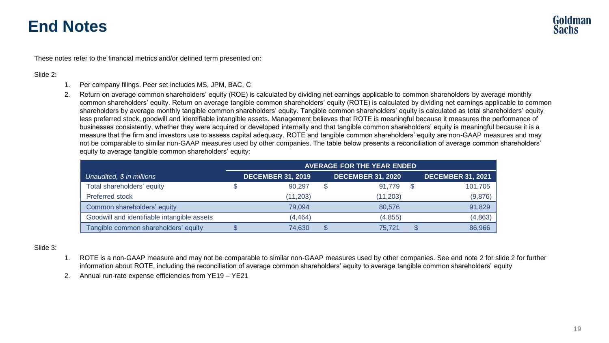These notes refer to the financial metrics and/or defined term presented on:

#### Slide 2:

- 1. Per company filings. Peer set includes MS, JPM, BAC, C
- 2. Return on average common shareholders' equity (ROE) is calculated by dividing net earnings applicable to common shareholders by average monthly common shareholders' equity. Return on average tangible common shareholders' equity (ROTE) is calculated by dividing net earnings applicable to common shareholders by average monthly tangible common shareholders' equity. Tangible common shareholders' equity is calculated as total shareholders' equity less preferred stock, goodwill and identifiable intangible assets. Management believes that ROTE is meaningful because it measures the performance of businesses consistently, whether they were acquired or developed internally and that tangible common shareholders' equity is meaningful because it is a measure that the firm and investors use to assess capital adequacy. ROTE and tangible common shareholders' equity are non-GAAP measures and may not be comparable to similar non-GAAP measures used by other companies. The table below presents a reconciliation of average common shareholders' equity to average tangible common shareholders' equity:

|                                             | <b>AVERAGE FOR THE YEAR ENDED</b> |                          |   |                          |  |                          |
|---------------------------------------------|-----------------------------------|--------------------------|---|--------------------------|--|--------------------------|
| Unaudited, \$ in millions                   |                                   | <b>DECEMBER 31, 2019</b> |   | <b>DECEMBER 31, 2020</b> |  | <b>DECEMBER 31, 2021</b> |
| Total shareholders' equity                  |                                   | 90.297                   | S | 91.779                   |  | 101,705                  |
| Preferred stock                             |                                   | (11, 203)                |   | (11.203)                 |  | (9,876)                  |
| Common shareholders' equity                 |                                   | 79.094                   |   | 80.576                   |  | 91,829                   |
| Goodwill and identifiable intangible assets |                                   | (4, 464)                 |   | (4, 855)                 |  | (4,863)                  |
| Tangible common shareholders' equity        |                                   | 74.630                   | S | 75.721                   |  | 86.966                   |

#### Slide 3:

- 1. ROTE is a non-GAAP measure and may not be comparable to similar non-GAAP measures used by other companies. See end note 2 for slide 2 for further information about ROTE, including the reconciliation of average common shareholders' equity to average tangible common shareholders' equity
- 2. Annual run-rate expense efficiencies from YE19 YE21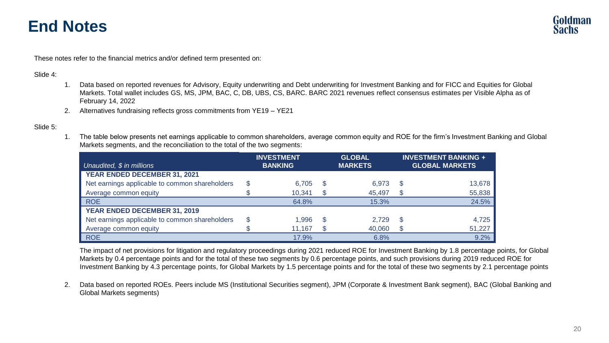These notes refer to the financial metrics and/or defined term presented on:

#### Slide 4:

- 1. Data based on reported revenues for Advisory, Equity underwriting and Debt underwriting for Investment Banking and for FICC and Equities for Global Markets. Total wallet includes GS, MS, JPM, BAC, C, DB, UBS, CS, BARC. BARC 2021 revenues reflect consensus estimates per Visible Alpha as of February 14, 2022
- 2. Alternatives fundraising reflects gross commitments from YE19 YE21

#### Slide 5:

1. The table below presents net earnings applicable to common shareholders, average common equity and ROE for the firm's Investment Banking and Global Markets segments, and the reconciliation to the total of the two segments:

|                                                |    | <b>INVESTMENT</b> |     | <b>GLOBAL</b>  |    | <b>INVESTMENT BANKING +</b> |  |
|------------------------------------------------|----|-------------------|-----|----------------|----|-----------------------------|--|
| Unaudited, \$ in millions                      |    | <b>BANKING</b>    |     | <b>MARKETS</b> |    | <b>GLOBAL MARKETS</b>       |  |
| YEAR ENDED DECEMBER 31, 2021                   |    |                   |     |                |    |                             |  |
| Net earnings applicable to common shareholders | \$ | 6.705             | -S  | 6.973          | S  | 13,678                      |  |
| Average common equity                          |    | 10.341            | \$  | 45.497         | S  | 55,838                      |  |
| <b>ROE</b>                                     |    | 64.8%             |     | 15.3%          |    | 24.5%                       |  |
| YEAR ENDED DECEMBER 31, 2019                   |    |                   |     |                |    |                             |  |
| Net earnings applicable to common shareholders | \$ | 1.996             | \$. | 2.729          | \$ | 4,725                       |  |
| Average common equity                          |    | 11.167            |     | 40.060         |    | 51,227                      |  |
| <b>ROE</b>                                     |    | 17.9%             |     | 6.8%           |    | 9.2%                        |  |

The impact of net provisions for litigation and regulatory proceedings during 2021 reduced ROE for Investment Banking by 1.8 percentage points, for Global Markets by 0.4 percentage points and for the total of these two segments by 0.6 percentage points, and such provisions during 2019 reduced ROE for Investment Banking by 4.3 percentage points, for Global Markets by 1.5 percentage points and for the total of these two segments by 2.1 percentage points

2. Data based on reported ROEs. Peers include MS (Institutional Securities segment), JPM (Corporate & Investment Bank segment), BAC (Global Banking and Global Markets segments)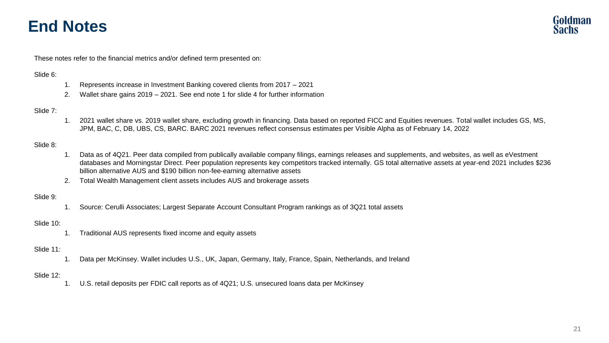These notes refer to the financial metrics and/or defined term presented on:

#### Slide 6:

- 1. Represents increase in Investment Banking covered clients from 2017 2021
- 2. Wallet share gains 2019 2021. See end note 1 for slide 4 for further information

#### Slide 7:

1. 2021 wallet share vs. 2019 wallet share, excluding growth in financing. Data based on reported FICC and Equities revenues. Total wallet includes GS, MS, JPM, BAC, C, DB, UBS, CS, BARC. BARC 2021 revenues reflect consensus estimates per Visible Alpha as of February 14, 2022

#### Slide 8:

- 1. Data as of 4Q21. Peer data compiled from publically available company filings, earnings releases and supplements, and websites, as well as eVestment databases and Morningstar Direct. Peer population represents key competitors tracked internally. GS total alternative assets at year-end 2021 includes \$236 billion alternative AUS and \$190 billion non-fee-earning alternative assets
- 2. Total Wealth Management client assets includes AUS and brokerage assets

#### Slide 9:

1. Source: Cerulli Associates; Largest Separate Account Consultant Program rankings as of 3Q21 total assets

#### Slide 10:

1. Traditional AUS represents fixed income and equity assets

#### Slide 11:

1. Data per McKinsey. Wallet includes U.S., UK, Japan, Germany, Italy, France, Spain, Netherlands, and Ireland

#### Slide 12:

1. U.S. retail deposits per FDIC call reports as of 4Q21; U.S. unsecured loans data per McKinsey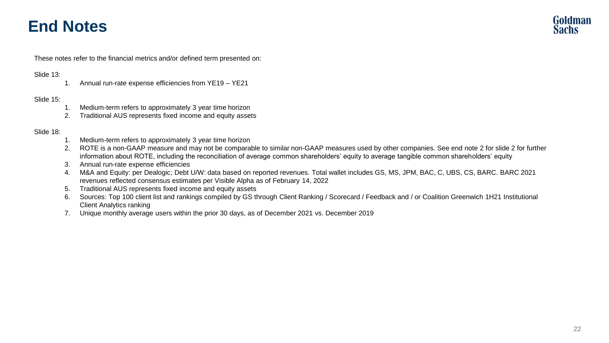These notes refer to the financial metrics and/or defined term presented on:

#### Slide 13:

1. Annual run-rate expense efficiencies from YE19 – YE21

#### Slide 15:

- 1. Medium-term refers to approximately 3 year time horizon
- 2. Traditional AUS represents fixed income and equity assets

#### Slide 18:

- 1. Medium-term refers to approximately 3 year time horizon
- 2. ROTE is a non-GAAP measure and may not be comparable to similar non-GAAP measures used by other companies. See end note 2 for slide 2 for further information about ROTE, including the reconciliation of average common shareholders' equity to average tangible common shareholders' equity
- 3. Annual run-rate expense efficiencies
- 4. M&A and Equity: per Dealogic; Debt U/W: data based on reported revenues. Total wallet includes GS, MS, JPM, BAC, C, UBS, CS, BARC. BARC 2021 revenues reflected consensus estimates per Visible Alpha as of February 14, 2022
- 5. Traditional AUS represents fixed income and equity assets
- 6. Sources: Top 100 client list and rankings compiled by GS through Client Ranking / Scorecard / Feedback and / or Coalition Greenwich 1H21 Institutional Client Analytics ranking
- 7. Unique monthly average users within the prior 30 days, as of December 2021 vs. December 2019